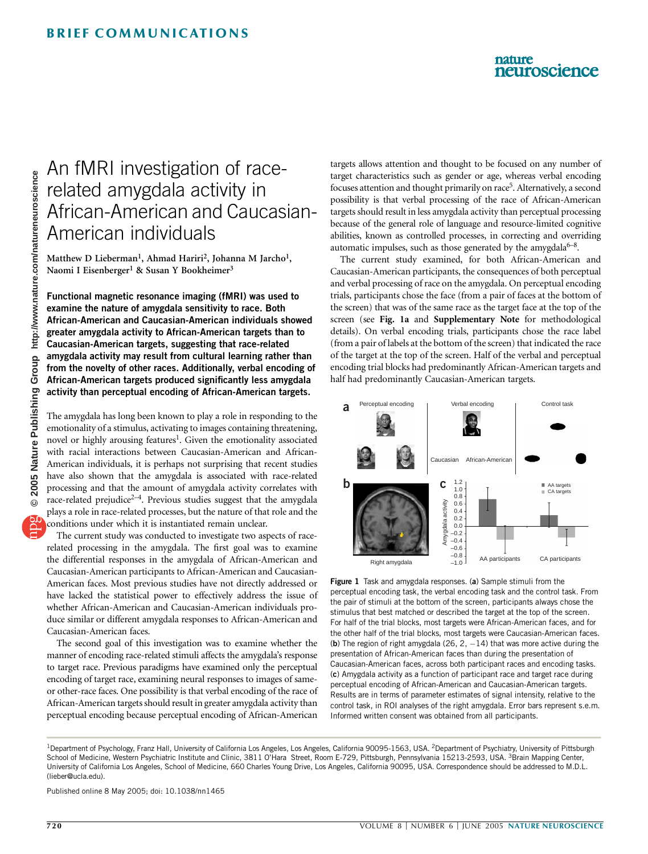### nature neuroscience

# An fMRI investigation of racerelated amygdala activity in African-American and Caucasian-American individuals

Matthew D Lieberman<sup>1</sup>, Ahmad Hariri<sup>2</sup>, Johanna M Jarcho<sup>1</sup>, Naomi I Eisenberger<sup>1</sup> & Susan Y Bookheimer<sup>3</sup>

Functional magnetic resonance imaging (fMRI) was used to examine the nature of amygdala sensitivity to race. Both African-American and Caucasian-American individuals showed greater amygdala activity to African-American targets than to Caucasian-American targets, suggesting that race-related amygdala activity may result from cultural learning rather than from the novelty of other races. Additionally, verbal encoding of African-American targets produced significantly less amygdala activity than perceptual encoding of African-American targets.

The amygdala has long been known to play a role in responding to the emotionality of a stimulus, activating to images containing threatening, novel or highly arousing features<sup>1</sup>. Given the emotionality associated with racial interactions between Caucasian-American and African-American individuals, it is perhaps not surprising that recent studies have also shown that the amygdala is associated with race-related processing and that the amount of amygdala activity correlates with race-related prejudice<sup>2-4</sup>. Previous studies suggest that the amygdala plays a role in race-related processes, but the nature of that role and the conditions under which it is instantiated remain unclear.

The current study was conducted to investigate two aspects of racerelated processing in the amygdala. The first goal was to examine the differential responses in the amygdala of African-American and Caucasian-American participants to African-American and Caucasian-American faces. Most previous studies have not directly addressed or have lacked the statistical power to effectively address the issue of whether African-American and Caucasian-American individuals produce similar or different amygdala responses to African-American and Caucasian-American faces.

The second goal of this investigation was to examine whether the manner of encoding race-related stimuli affects the amygdala's response to target race. Previous paradigms have examined only the perceptual encoding of target race, examining neural responses to images of sameor other-race faces. One possibility is that verbal encoding of the race of African-American targets should result in greater amygdala activity than perceptual encoding because perceptual encoding of African-American targets allows attention and thought to be focused on any number of target characteristics such as gender or age, whereas verbal encoding focuses attention and thought primarily on race<sup>5</sup>. Alternatively, a second possibility is that verbal processing of the race of African-American targets should result in less amygdala activity than perceptual processing because of the general role of language and resource-limited cognitive abilities, known as controlled processes, in correcting and overriding automatic impulses, such as those generated by the amygdala $6-8$ .

The current study examined, for both African-American and Caucasian-American participants, the consequences of both perceptual and verbal processing of race on the amygdala. On perceptual encoding trials, participants chose the face (from a pair of faces at the bottom of the screen) that was of the same race as the target face at the top of the screen (see Fig. 1a and Supplementary Note for methodological details). On verbal encoding trials, participants chose the race label (from a pair of labels at the bottom of the screen) that indicated the race of the target at the top of the screen. Half of the verbal and perceptual encoding trial blocks had predominantly African-American targets and half had predominantly Caucasian-American targets.



Figure 1 Task and amygdala responses. (a) Sample stimuli from the perceptual encoding task, the verbal encoding task and the control task. From the pair of stimuli at the bottom of the screen, participants always chose the stimulus that best matched or described the target at the top of the screen. For half of the trial blocks, most targets were African-American faces, and for the other half of the trial blocks, most targets were Caucasian-American faces. (b) The region of right amygdala (26, 2,  $-14$ ) that was more active during the presentation of African-American faces than during the presentation of Caucasian-American faces, across both participant races and encoding tasks. (c) Amygdala activity as a function of participant race and target race during perceptual encoding of African-American and Caucasian-American targets. Results are in terms of parameter estimates of signal intensity, relative to the control task, in ROI analyses of the right amygdala. Error bars represent s.e.m. Informed written consent was obtained from all participants.

Published online 8 May 2005; doi: 10.1038/nn1465

<sup>&</sup>lt;sup>1</sup>Department of Psychology, Franz Hall, University of California Los Angeles, Los Angeles, California 90095-1563, USA. <sup>2</sup>Department of Psychiatry, University of Pittsburgh School of Medicine, Western Psychiatric Institute and Clinic, 3811 O'Hara Street, Room E-729, Pittsburgh, Pennsylvania 15213-2593, USA. <sup>3</sup>Brain Mapping Center, University of California Los Angeles, School of Medicine, 660 Charles Young Drive, Los Angeles, California 90095, USA. Correspondence should be addressed to M.D.L. (lieber@ucla.edu).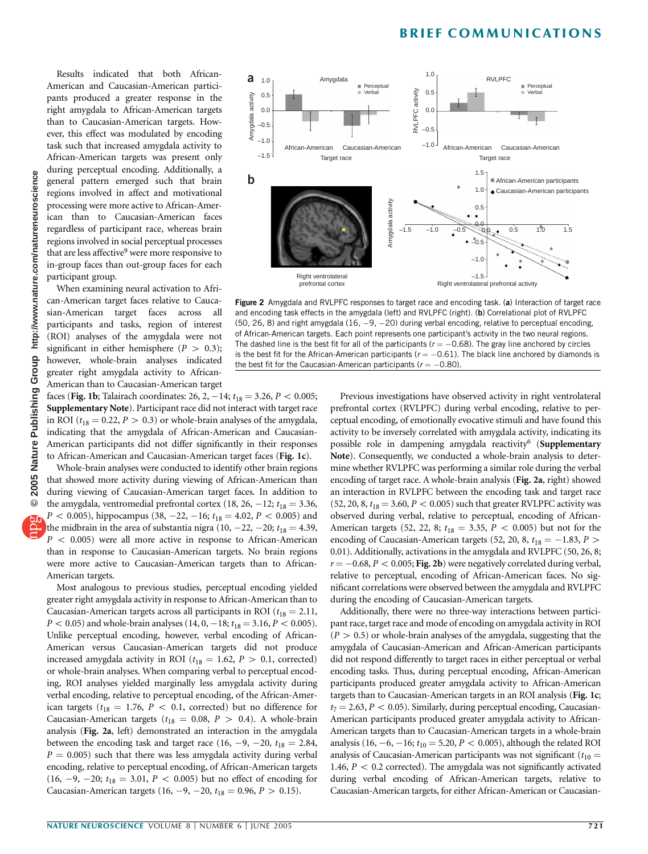## BRIEF COMMUNICATIONS

Results indicated that both African-American and Caucasian-American participants produced a greater response in the right amygdala to African-American targets than to Caucasian-American targets. However, this effect was modulated by encoding task such that increased amygdala activity to African-American targets was present only during perceptual encoding. Additionally, a general pattern emerged such that brain regions involved in affect and motivational processing were more active to African-American than to Caucasian-American faces regardless of participant race, whereas brain regions involved in social perceptual processes that are less affective<sup>9</sup> were more responsive to in-group faces than out-group faces for each participant group.

When examining neural activation to African-American target faces relative to Caucasian-American target faces across all participants and tasks, region of interest (ROI) analyses of the amygdala were not significant in either hemisphere  $(P > 0.3)$ ; however, whole-brain analyses indicated greater right amygdala activity to African-American than to Caucasian-American target

faces (Fig. 1b; Talairach coordinates: 26, 2,  $-14$ ;  $t_{18} = 3.26$ ,  $P < 0.005$ ; Supplementary Note). Participant race did not interact with target race in ROI ( $t_{18} = 0.22$ ,  $P > 0.3$ ) or whole-brain analyses of the amygdala, indicating that the amygdala of African-American and Caucasian-American participants did not differ significantly in their responses to African-American and Caucasian-American target faces (Fig. 1c).

Whole-brain analyses were conducted to identify other brain regions that showed more activity during viewing of African-American than during viewing of Caucasian-American target faces. In addition to the amygdala, ventromedial prefrontal cortex (18, 26,  $-12$ ;  $t_{18} = 3.36$ ,  $P < 0.005$ ), hippocampus (38, -22, -16;  $t_{18} = 4.02$ ,  $P < 0.005$ ) and the midbrain in the area of substantia nigra (10,  $-22$ ,  $-20$ ;  $t_{18} = 4.39$ ,  $P < 0.005$ ) were all more active in response to African-American than in response to Caucasian-American targets. No brain regions were more active to Caucasian-American targets than to African-American targets.

Most analogous to previous studies, perceptual encoding yielded greater right amygdala activity in response to African-American than to Caucasian-American targets across all participants in ROI ( $t_{18} = 2.11$ ,  $P < 0.05$ ) and whole-brain analyses (14, 0, -18;  $t_{18} = 3.16, P < 0.005$ ). Unlike perceptual encoding, however, verbal encoding of African-American versus Caucasian-American targets did not produce increased amygdala activity in ROI ( $t_{18} = 1.62$ ,  $P > 0.1$ , corrected) or whole-brain analyses. When comparing verbal to perceptual encoding, ROI analyses yielded marginally less amygdala activity during verbal encoding, relative to perceptual encoding, of the African-American targets ( $t_{18} = 1.76$ ,  $P < 0.1$ , corrected) but no difference for Caucasian-American targets ( $t_{18} = 0.08$ ,  $P > 0.4$ ). A whole-brain analysis (Fig. 2a, left) demonstrated an interaction in the amygdala between the encoding task and target race (16, -9, -20,  $t_{18} = 2.84$ ,  $P = 0.005$ ) such that there was less amygdala activity during verbal encoding, relative to perceptual encoding, of African-American targets  $(16, -9, -20; t_{18} = 3.01, P < 0.005)$  but no effect of encoding for Caucasian-American targets (16, -9, -20,  $t_{18} = 0.96$ ,  $P > 0.15$ ).



Figure 2 Amygdala and RVLPFC responses to target race and encoding task. (a) Interaction of target race and encoding task effects in the amygdala (left) and RVLPFC (right). (b) Correlational plot of RVLPFC (50, 26, 8) and right amygdala (16,  $-9$ ,  $-20$ ) during verbal encoding, relative to perceptual encoding, of African-American targets. Each point represents one participant's activity in the two neural regions. The dashed line is the best fit for all of the participants ( $r = -0.68$ ). The gray line anchored by circles is the best fit for the African-American participants ( $r = -0.61$ ). The black line anchored by diamonds is the best fit for the Caucasian-American participants  $(r = -0.80)$ .

Previous investigations have observed activity in right ventrolateral prefrontal cortex (RVLPFC) during verbal encoding, relative to perceptual encoding, of emotionally evocative stimuli and have found this activity to be inversely correlated with amygdala activity, indicating its possible role in dampening amygdala reactivity<sup>6</sup> (Supplementary Note). Consequently, we conducted a whole-brain analysis to determine whether RVLPFC was performing a similar role during the verbal encoding of target race. A whole-brain analysis (Fig. 2a, right) showed an interaction in RVLPFC between the encoding task and target race  $(52, 20, 8, t_{18} = 3.60, P < 0.005)$  such that greater RVLPFC activity was observed during verbal, relative to perceptual, encoding of African-American targets (52, 22, 8;  $t_{18} = 3.35$ ,  $P < 0.005$ ) but not for the encoding of Caucasian-American targets (52, 20, 8,  $t_{18} = -1.83$ ,  $P >$ 0.01). Additionally, activations in the amygdala and RVLPFC (50, 26, 8;  $r = -0.68$ ,  $P < 0.005$ ; Fig. 2b) were negatively correlated during verbal, relative to perceptual, encoding of African-American faces. No significant correlations were observed between the amygdala and RVLPFC during the encoding of Caucasian-American targets.

Additionally, there were no three-way interactions between participant race, target race and mode of encoding on amygdala activity in ROI  $(P > 0.5)$  or whole-brain analyses of the amygdala, suggesting that the amygdala of Caucasian-American and African-American participants did not respond differently to target races in either perceptual or verbal encoding tasks. Thus, during perceptual encoding, African-American participants produced greater amygdala activity to African-American targets than to Caucasian-American targets in an ROI analysis (Fig. 1c;  $t_7 = 2.63, P < 0.05$ ). Similarly, during perceptual encoding, Caucasian-American participants produced greater amygdala activity to African-American targets than to Caucasian-American targets in a whole-brain analysis (16, -6, -16;  $t_{10} = 5.20$ ,  $P < 0.005$ ), although the related ROI analysis of Caucasian-American participants was not significant ( $t_{10}$  = 1.46,  $P < 0.2$  corrected). The amygdala was not significantly activated during verbal encoding of African-American targets, relative to Caucasian-American targets, for either African-American or Caucasian